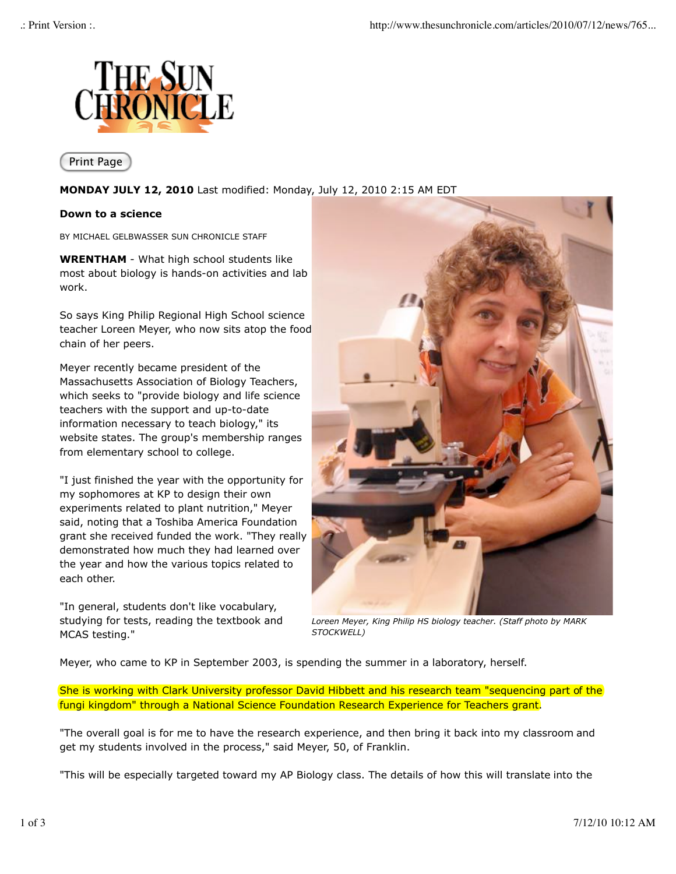

Print Page

**MONDAY JULY 12, 2010** Last modified: Monday, July 12, 2010 2:15 AM EDT

## **Down to a science**

BY MICHAEL GELBWASSER SUN CHRONICLE STAFF

**WRENTHAM** - What high school students like most about biology is hands-on activities and lab work.

So says King Philip Regional High School science teacher Loreen Meyer, who now sits atop the food chain of her peers.

Meyer recently became president of the Massachusetts Association of Biology Teachers, which seeks to "provide biology and life science teachers with the support and up-to-date information necessary to teach biology," its website states. The group's membership ranges from elementary school to college.

"I just finished the year with the opportunity for my sophomores at KP to design their own experiments related to plant nutrition," Meyer said, noting that a Toshiba America Foundation grant she received funded the work. "They really demonstrated how much they had learned over the year and how the various topics related to each other.

"In general, students don't like vocabulary, studying for tests, reading the textbook and MCAS testing."



*Loreen Meyer, King Philip HS biology teacher. (Staff photo by MARK STOCKWELL)*

Meyer, who came to KP in September 2003, is spending the summer in a laboratory, herself.

She is working with Clark University professor David Hibbett and his research team "sequencing part of the fungi kingdom" through a National Science Foundation Research Experience for Teachers grant.

"The overall goal is for me to have the research experience, and then bring it back into my classroom and get my students involved in the process," said Meyer, 50, of Franklin.

"This will be especially targeted toward my AP Biology class. The details of how this will translate into the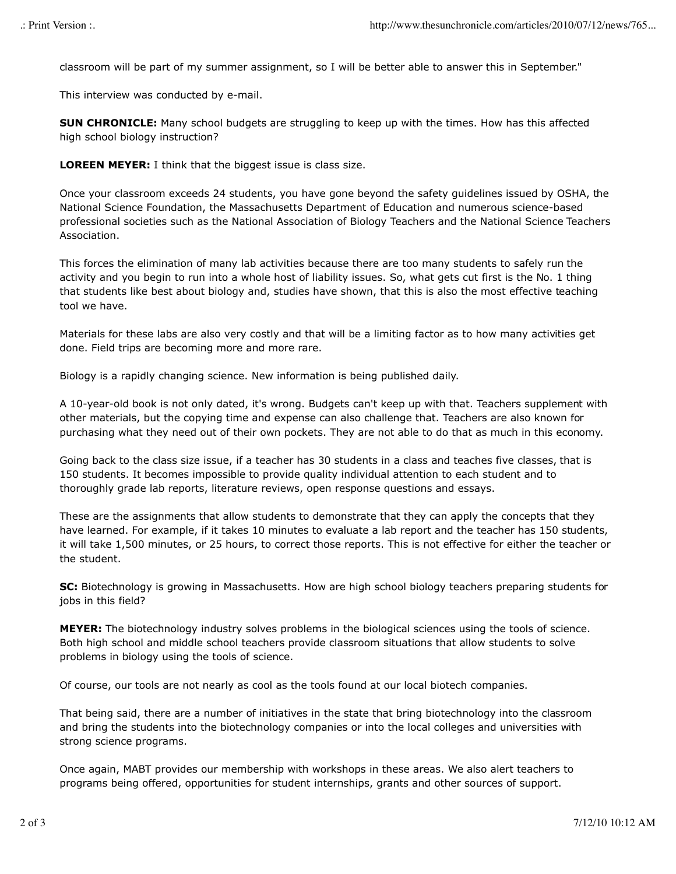classroom will be part of my summer assignment, so I will be better able to answer this in September."

This interview was conducted by e-mail.

**SUN CHRONICLE:** Many school budgets are struggling to keep up with the times. How has this affected high school biology instruction?

**LOREEN MEYER:** I think that the biggest issue is class size.

Once your classroom exceeds 24 students, you have gone beyond the safety guidelines issued by OSHA, the National Science Foundation, the Massachusetts Department of Education and numerous science-based professional societies such as the National Association of Biology Teachers and the National Science Teachers Association.

This forces the elimination of many lab activities because there are too many students to safely run the activity and you begin to run into a whole host of liability issues. So, what gets cut first is the No. 1 thing that students like best about biology and, studies have shown, that this is also the most effective teaching tool we have.

Materials for these labs are also very costly and that will be a limiting factor as to how many activities get done. Field trips are becoming more and more rare.

Biology is a rapidly changing science. New information is being published daily.

A 10-year-old book is not only dated, it's wrong. Budgets can't keep up with that. Teachers supplement with other materials, but the copying time and expense can also challenge that. Teachers are also known for purchasing what they need out of their own pockets. They are not able to do that as much in this economy.

Going back to the class size issue, if a teacher has 30 students in a class and teaches five classes, that is 150 students. It becomes impossible to provide quality individual attention to each student and to thoroughly grade lab reports, literature reviews, open response questions and essays.

These are the assignments that allow students to demonstrate that they can apply the concepts that they have learned. For example, if it takes 10 minutes to evaluate a lab report and the teacher has 150 students, it will take 1,500 minutes, or 25 hours, to correct those reports. This is not effective for either the teacher or the student.

**SC:** Biotechnology is growing in Massachusetts. How are high school biology teachers preparing students for jobs in this field?

**MEYER:** The biotechnology industry solves problems in the biological sciences using the tools of science. Both high school and middle school teachers provide classroom situations that allow students to solve problems in biology using the tools of science.

Of course, our tools are not nearly as cool as the tools found at our local biotech companies.

That being said, there are a number of initiatives in the state that bring biotechnology into the classroom and bring the students into the biotechnology companies or into the local colleges and universities with strong science programs.

Once again, MABT provides our membership with workshops in these areas. We also alert teachers to programs being offered, opportunities for student internships, grants and other sources of support.